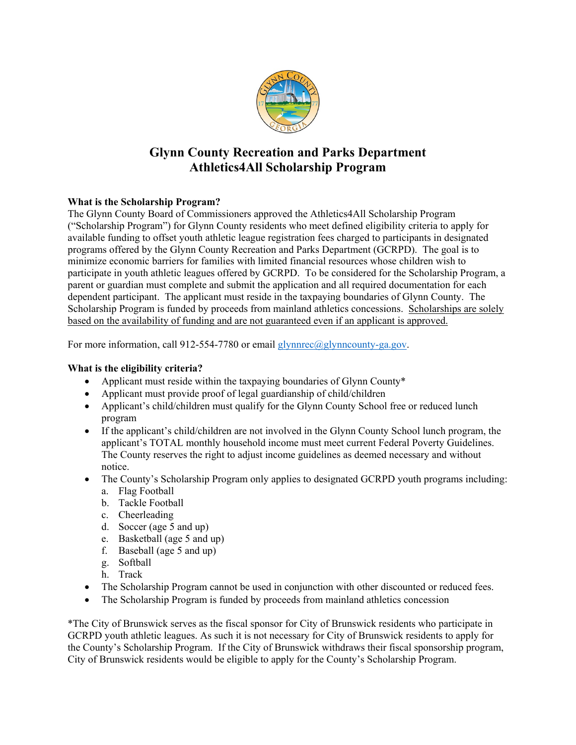

# **Glynn County Recreation and Parks Department Athletics4All Scholarship Program**

## **What is the Scholarship Program?**

The Glynn County Board of Commissioners approved the Athletics4All Scholarship Program ("Scholarship Program") for Glynn County residents who meet defined eligibility criteria to apply for available funding to offset youth athletic league registration fees charged to participants in designated programs offered by the Glynn County Recreation and Parks Department (GCRPD). The goal is to minimize economic barriers for families with limited financial resources whose children wish to participate in youth athletic leagues offered by GCRPD. To be considered for the Scholarship Program, a parent or guardian must complete and submit the application and all required documentation for each dependent participant. The applicant must reside in the taxpaying boundaries of Glynn County. The Scholarship Program is funded by proceeds from mainland athletics concessions. Scholarships are solely based on the availability of funding and are not guaranteed even if an applicant is approved.

For more information, call 912-554-7780 or email  $\frac{1}{2}$  lynnrec $\left(\frac{\partial g}{\partial y}\right)$  means equal to F

### **What is the eligibility criteria?**

- Applicant must reside within the taxpaying boundaries of Glynn County\*
- Applicant must provide proof of legal guardianship of child/children
- Applicant's child/children must qualify for the Glynn County School free or reduced lunch program
- If the applicant's child/children are not involved in the Glynn County School lunch program, the applicant's TOTAL monthly household income must meet current Federal Poverty Guidelines. The County reserves the right to adjust income guidelines as deemed necessary and without notice.
- The County's Scholarship Program only applies to designated GCRPD youth programs including: a. Flag Football
	- b. Tackle Football
	- c. Cheerleading
	- d. Soccer (age 5 and up)
	- e. Basketball (age 5 and up)
	- f. Baseball (age 5 and up)
	- g. Softball
	- h. Track
- The Scholarship Program cannot be used in conjunction with other discounted or reduced fees.
- The Scholarship Program is funded by proceeds from mainland athletics concession

\*The City of Brunswick serves as the fiscal sponsor for City of Brunswick residents who participate in GCRPD youth athletic leagues. As such it is not necessary for City of Brunswick residents to apply for the County's Scholarship Program. If the City of Brunswick withdraws their fiscal sponsorship program, City of Brunswick residents would be eligible to apply for the County's Scholarship Program.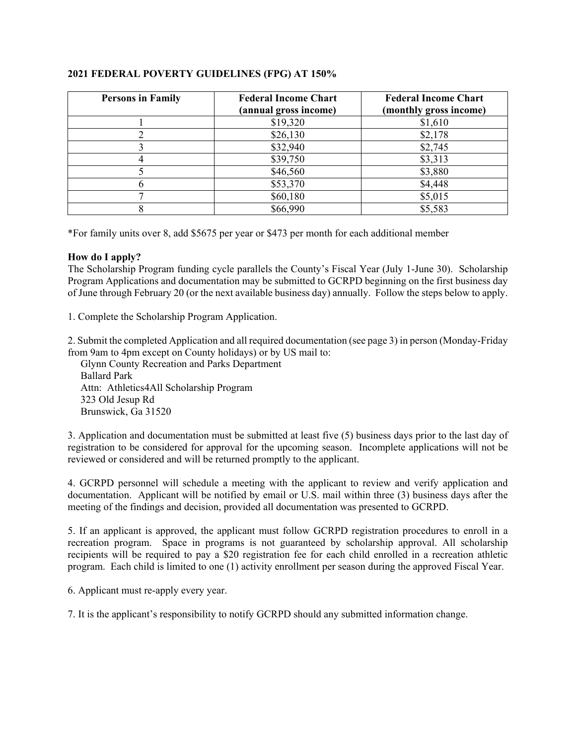| <b>Persons in Family</b> | <b>Federal Income Chart</b><br>(annual gross income) | <b>Federal Income Chart</b><br>(monthly gross income) |
|--------------------------|------------------------------------------------------|-------------------------------------------------------|
|                          | \$19,320                                             | \$1,610                                               |
|                          | \$26,130                                             | \$2,178                                               |
|                          | \$32,940                                             | \$2,745                                               |
|                          | \$39,750                                             | \$3,313                                               |
|                          | \$46,560                                             | \$3,880                                               |
|                          | \$53,370                                             | \$4,448                                               |
|                          | \$60,180                                             | \$5,015                                               |
|                          | \$66,990                                             | \$5,583                                               |

#### **2021 FEDERAL POVERTY GUIDELINES (FPG) AT 150%**

\*For family units over 8, add \$5675 per year or \$473 per month for each additional member

#### **How do I apply?**

The Scholarship Program funding cycle parallels the County's Fiscal Year (July 1-June 30). Scholarship Program Applications and documentation may be submitted to GCRPD beginning on the first business day of June through February 20 (or the next available business day) annually. Follow the steps below to apply.

1. Complete the Scholarship Program Application.

2. Submit the completed Application and all required documentation (see page 3) in person (Monday-Friday from 9am to 4pm except on County holidays) or by US mail to:

 Glynn County Recreation and Parks Department Ballard Park Attn: Athletics4All Scholarship Program 323 Old Jesup Rd Brunswick, Ga 31520

3. Application and documentation must be submitted at least five (5) business days prior to the last day of registration to be considered for approval for the upcoming season. Incomplete applications will not be reviewed or considered and will be returned promptly to the applicant.

4. GCRPD personnel will schedule a meeting with the applicant to review and verify application and documentation. Applicant will be notified by email or U.S. mail within three (3) business days after the meeting of the findings and decision, provided all documentation was presented to GCRPD.

5. If an applicant is approved, the applicant must follow GCRPD registration procedures to enroll in a recreation program. Space in programs is not guaranteed by scholarship approval. All scholarship recipients will be required to pay a \$20 registration fee for each child enrolled in a recreation athletic program. Each child is limited to one (1) activity enrollment per season during the approved Fiscal Year.

6. Applicant must re-apply every year.

7. It is the applicant's responsibility to notify GCRPD should any submitted information change.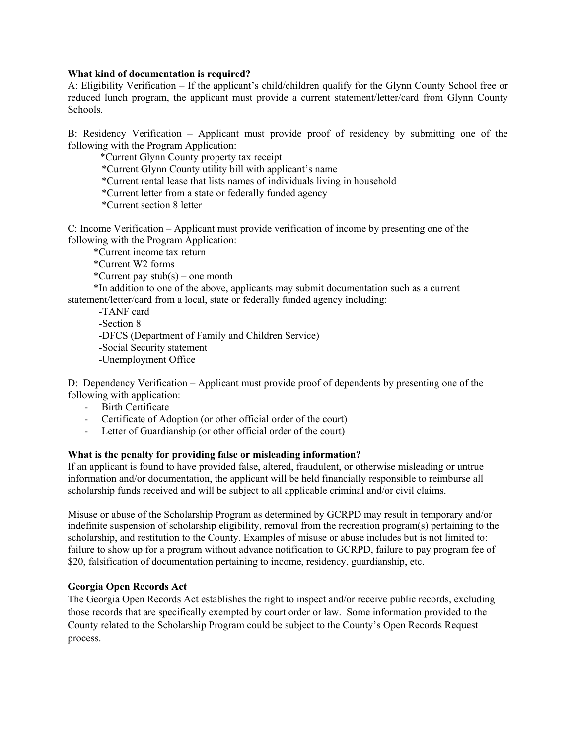#### **What kind of documentation is required?**

A: Eligibility Verification – If the applicant's child/children qualify for the Glynn County School free or reduced lunch program, the applicant must provide a current statement/letter/card from Glynn County Schools.

B: Residency Verification – Applicant must provide proof of residency by submitting one of the following with the Program Application:

\*Current Glynn County property tax receipt

\*Current Glynn County utility bill with applicant's name

\*Current rental lease that lists names of individuals living in household

\*Current letter from a state or federally funded agency

\*Current section 8 letter

C: Income Verification – Applicant must provide verification of income by presenting one of the following with the Program Application:

\*Current income tax return

\*Current W2 forms

\*Current pay  $stab(s)$  – one month

 \*In addition to one of the above, applicants may submit documentation such as a current statement/letter/card from a local, state or federally funded agency including:

-TANF card

-Section 8

-DFCS (Department of Family and Children Service)

-Social Security statement

-Unemployment Office

D: Dependency Verification – Applicant must provide proof of dependents by presenting one of the following with application:

- Birth Certificate
- Certificate of Adoption (or other official order of the court)
- Letter of Guardianship (or other official order of the court)

#### **What is the penalty for providing false or misleading information?**

If an applicant is found to have provided false, altered, fraudulent, or otherwise misleading or untrue information and/or documentation, the applicant will be held financially responsible to reimburse all scholarship funds received and will be subject to all applicable criminal and/or civil claims.

Misuse or abuse of the Scholarship Program as determined by GCRPD may result in temporary and/or indefinite suspension of scholarship eligibility, removal from the recreation program(s) pertaining to the scholarship, and restitution to the County. Examples of misuse or abuse includes but is not limited to: failure to show up for a program without advance notification to GCRPD, failure to pay program fee of \$20, falsification of documentation pertaining to income, residency, guardianship, etc.

#### **Georgia Open Records Act**

The Georgia Open Records Act establishes the right to inspect and/or receive public records, excluding those records that are specifically exempted by court order or law. Some information provided to the County related to the Scholarship Program could be subject to the County's Open Records Request process.